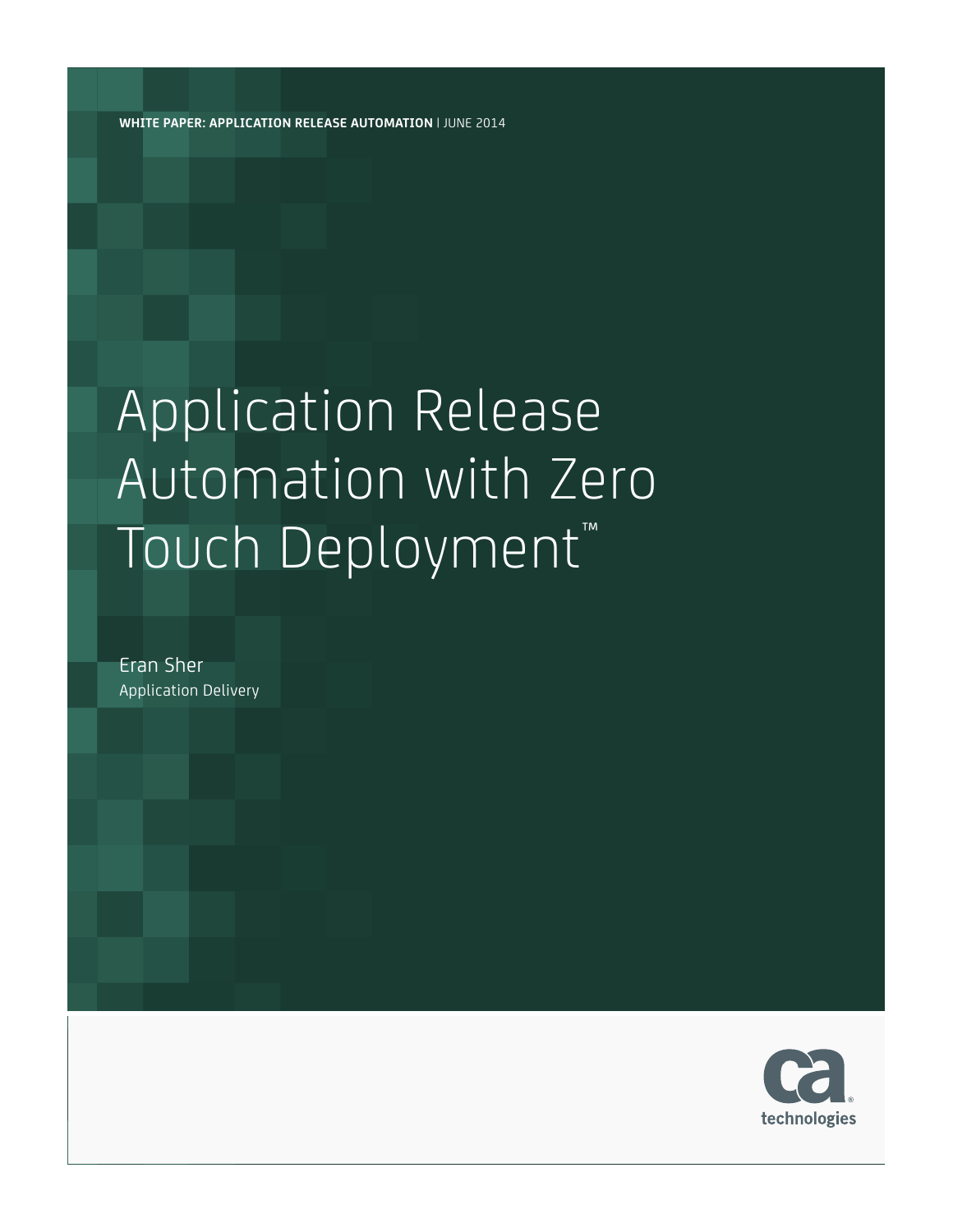**WHITE PAPER: APPLICATION RELEASE AUTOMATION** | JUNE 2014

# Application Release Automation with Zero Touch Deployment™

Eran Sher Application Delivery

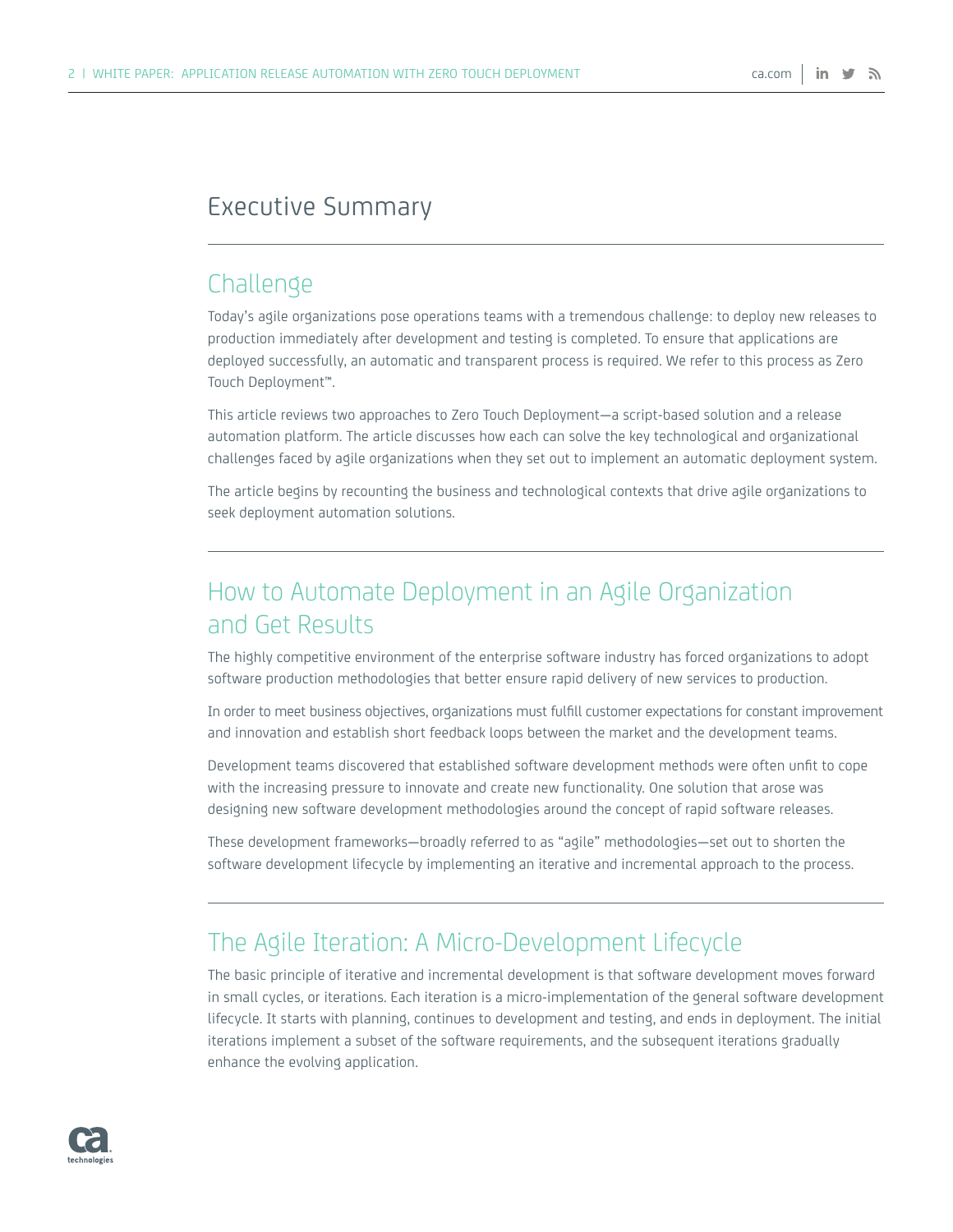### Executive Summary

### Challenge

Today's agile organizations pose operations teams with a tremendous challenge: to deploy new releases to production immediately after development and testing is completed. To ensure that applications are deployed successfully, an automatic and transparent process is required. We refer to this process as Zero Touch Deployment™.

This article reviews two approaches to Zero Touch Deployment—a script-based solution and a release automation platform. The article discusses how each can solve the key technological and organizational challenges faced by agile organizations when they set out to implement an automatic deployment system.

The article begins by recounting the business and technological contexts that drive agile organizations to seek deployment automation solutions.

# How to Automate Deployment in an Agile Organization and Get Results

The highly competitive environment of the enterprise software industry has forced organizations to adopt software production methodologies that better ensure rapid delivery of new services to production.

In order to meet business objectives, organizations must fulfill customer expectations for constant improvement and innovation and establish short feedback loops between the market and the development teams.

Development teams discovered that established software development methods were often unfit to cope with the increasing pressure to innovate and create new functionality. One solution that arose was designing new software development methodologies around the concept of rapid software releases.

These development frameworks—broadly referred to as "agile" methodologies—set out to shorten the software development lifecycle by implementing an iterative and incremental approach to the process.

## The Agile Iteration: A Micro-Development Lifecycle

The basic principle of iterative and incremental development is that software development moves forward in small cycles, or iterations. Each iteration is a micro-implementation of the general software development lifecycle. It starts with planning, continues to development and testing, and ends in deployment. The initial iterations implement a subset of the software requirements, and the subsequent iterations gradually enhance the evolving application.

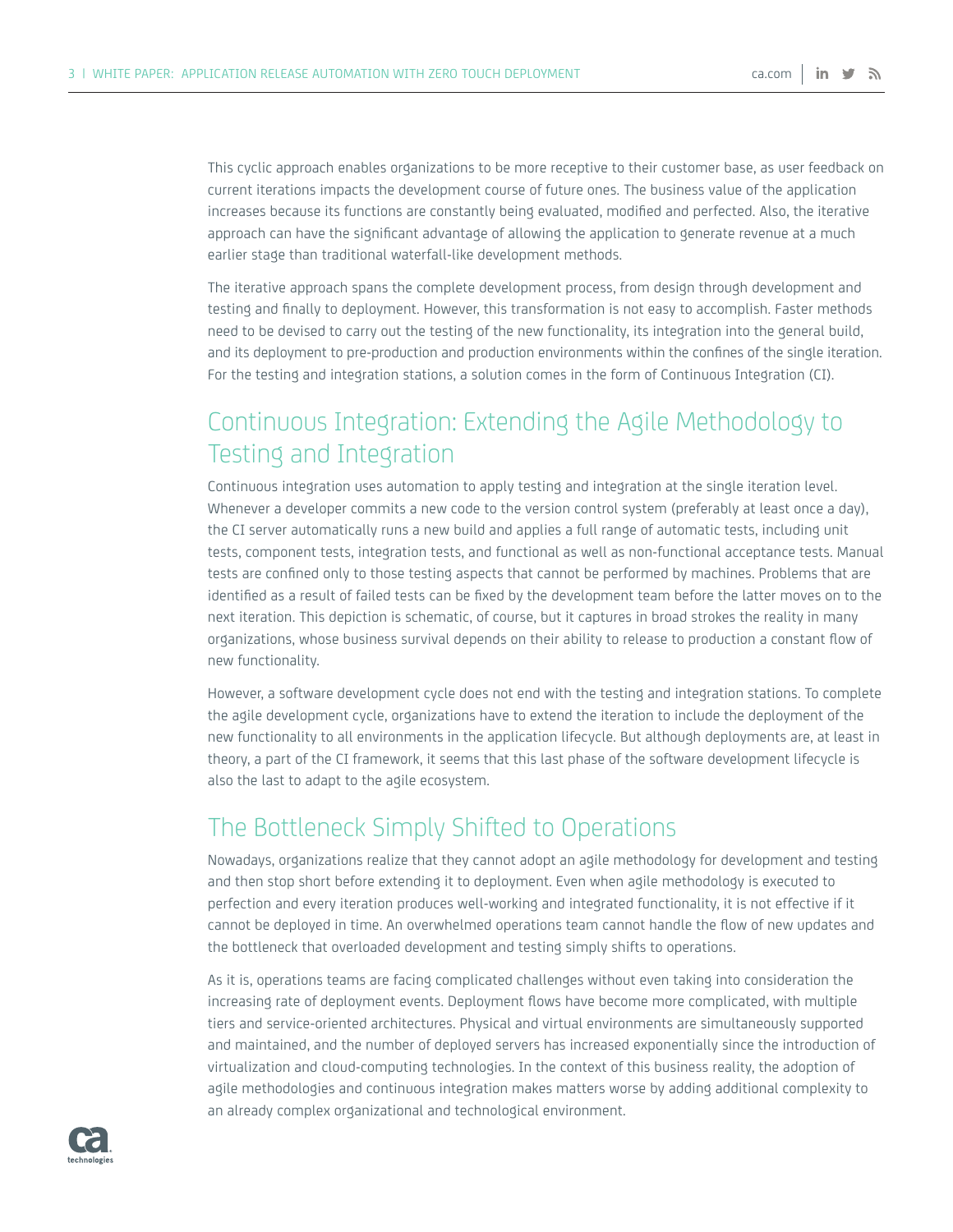This cyclic approach enables organizations to be more receptive to their customer base, as user feedback on current iterations impacts the development course of future ones. The business value of the application increases because its functions are constantly being evaluated, modified and perfected. Also, the iterative approach can have the significant advantage of allowing the application to generate revenue at a much earlier stage than traditional waterfall-like development methods.

The iterative approach spans the complete development process, from design through development and testing and finally to deployment. However, this transformation is not easy to accomplish. Faster methods need to be devised to carry out the testing of the new functionality, its integration into the general build, and its deployment to pre-production and production environments within the confines of the single iteration. For the testing and integration stations, a solution comes in the form of Continuous Integration (CI).

# Continuous Integration: Extending the Agile Methodology to Testing and Integration

Continuous integration uses automation to apply testing and integration at the single iteration level. Whenever a developer commits a new code to the version control system (preferably at least once a day), the CI server automatically runs a new build and applies a full range of automatic tests, including unit tests, component tests, integration tests, and functional as well as non-functional acceptance tests. Manual tests are confined only to those testing aspects that cannot be performed by machines. Problems that are identified as a result of failed tests can be fixed by the development team before the latter moves on to the next iteration. This depiction is schematic, of course, but it captures in broad strokes the reality in many organizations, whose business survival depends on their ability to release to production a constant flow of new functionality.

However, a software development cycle does not end with the testing and integration stations. To complete the agile development cycle, organizations have to extend the iteration to include the deployment of the new functionality to all environments in the application lifecycle. But although deployments are, at least in theory, a part of the CI framework, it seems that this last phase of the software development lifecycle is also the last to adapt to the agile ecosystem.

## The Bottleneck Simply Shifted to Operations

Nowadays, organizations realize that they cannot adopt an agile methodology for development and testing and then stop short before extending it to deployment. Even when agile methodology is executed to perfection and every iteration produces well-working and integrated functionality, it is not effective if it cannot be deployed in time. An overwhelmed operations team cannot handle the flow of new updates and the bottleneck that overloaded development and testing simply shifts to operations.

As it is, operations teams are facing complicated challenges without even taking into consideration the increasing rate of deployment events. Deployment flows have become more complicated, with multiple tiers and service-oriented architectures. Physical and virtual environments are simultaneously supported and maintained, and the number of deployed servers has increased exponentially since the introduction of virtualization and cloud-computing technologies. In the context of this business reality, the adoption of agile methodologies and continuous integration makes matters worse by adding additional complexity to an already complex organizational and technological environment.

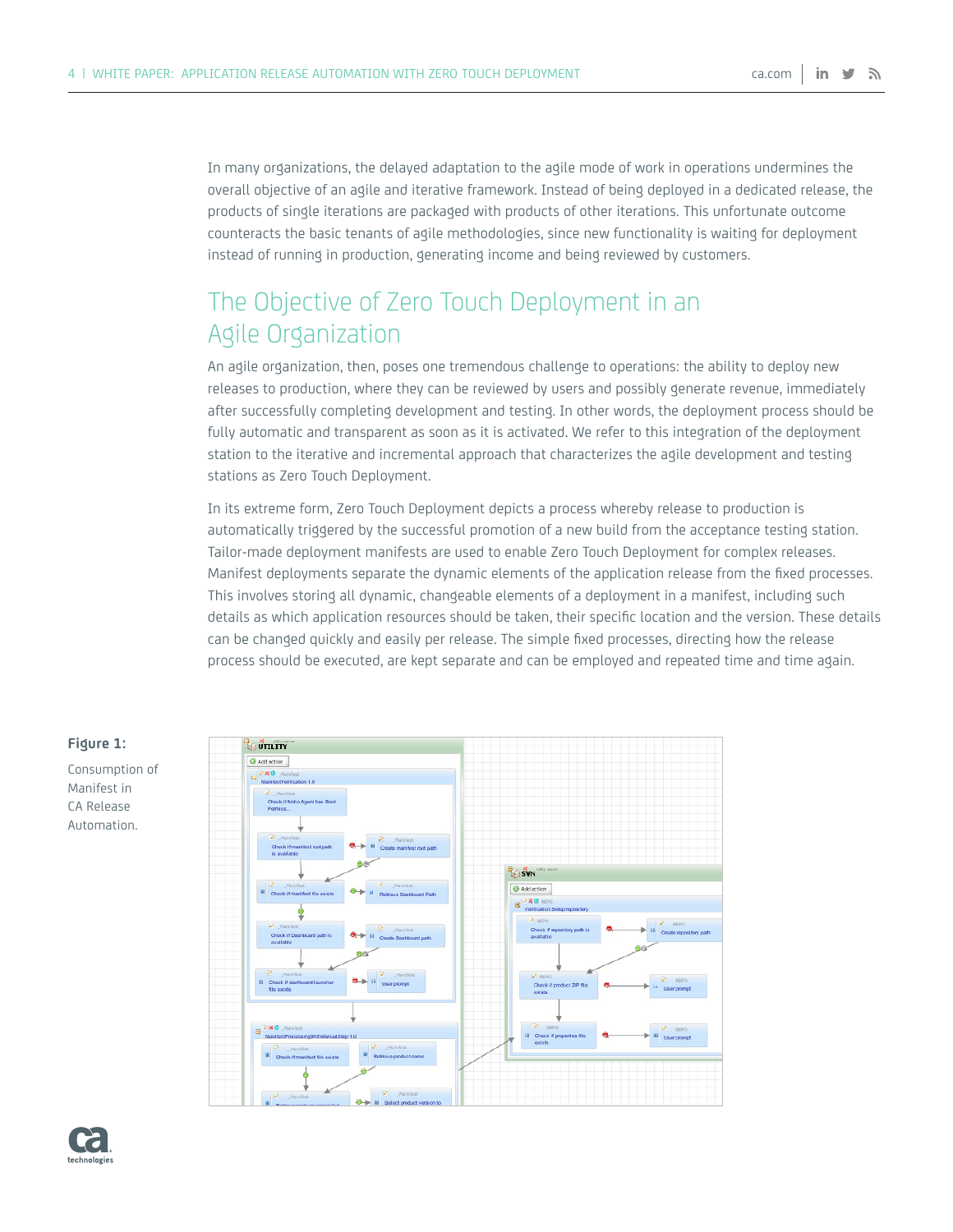In many organizations, the delayed adaptation to the agile mode of work in operations undermines the overall objective of an agile and iterative framework. Instead of being deployed in a dedicated release, the products of single iterations are packaged with products of other iterations. This unfortunate outcome counteracts the basic tenants of agile methodologies, since new functionality is waiting for deployment instead of running in production, generating income and being reviewed by customers.

# The Objective of Zero Touch Deployment in an Agile Organization

An agile organization, then, poses one tremendous challenge to operations: the ability to deploy new releases to production, where they can be reviewed by users and possibly generate revenue, immediately after successfully completing development and testing. In other words, the deployment process should be fully automatic and transparent as soon as it is activated. We refer to this integration of the deployment station to the iterative and incremental approach that characterizes the agile development and testing stations as Zero Touch Deployment.

In its extreme form, Zero Touch Deployment depicts a process whereby release to production is automatically triggered by the successful promotion of a new build from the acceptance testing station. Tailor-made deployment manifests are used to enable Zero Touch Deployment for complex releases. Manifest deployments separate the dynamic elements of the application release from the fixed processes. This involves storing all dynamic, changeable elements of a deployment in a manifest, including such details as which application resources should be taken, their specific location and the version. These details can be changed quickly and easily per release. The simple fixed processes, directing how the release process should be executed, are kept separate and can be employed and repeated time and time again.



#### **Figure 1:**  Consumption of

Manifest in CA Release Automation.

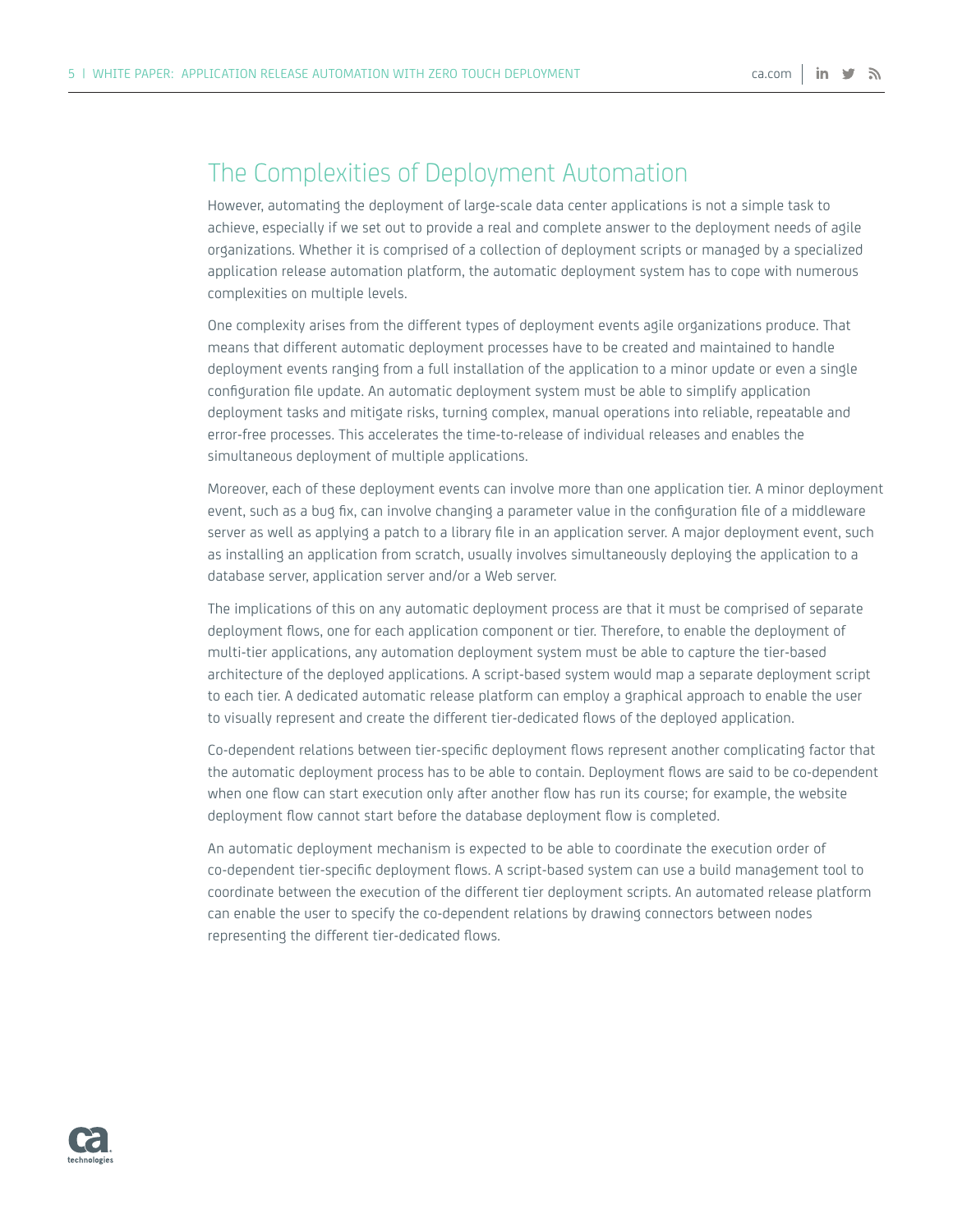## The Complexities of Deployment Automation

However, automating the deployment of large-scale data center applications is not a simple task to achieve, especially if we set out to provide a real and complete answer to the deployment needs of agile organizations. Whether it is comprised of a collection of deployment scripts or managed by a specialized application release automation platform, the automatic deployment system has to cope with numerous complexities on multiple levels.

One complexity arises from the different types of deployment events agile organizations produce. That means that different automatic deployment processes have to be created and maintained to handle deployment events ranging from a full installation of the application to a minor update or even a single configuration file update. An automatic deployment system must be able to simplify application deployment tasks and mitigate risks, turning complex, manual operations into reliable, repeatable and error-free processes. This accelerates the time-to-release of individual releases and enables the simultaneous deployment of multiple applications.

Moreover, each of these deployment events can involve more than one application tier. A minor deployment event, such as a bug fix, can involve changing a parameter value in the configuration file of a middleware server as well as applying a patch to a library file in an application server. A major deployment event, such as installing an application from scratch, usually involves simultaneously deploying the application to a database server, application server and/or a Web server.

The implications of this on any automatic deployment process are that it must be comprised of separate deployment flows, one for each application component or tier. Therefore, to enable the deployment of multi-tier applications, any automation deployment system must be able to capture the tier-based architecture of the deployed applications. A script-based system would map a separate deployment script to each tier. A dedicated automatic release platform can employ a graphical approach to enable the user to visually represent and create the different tier-dedicated flows of the deployed application.

Co-dependent relations between tier-specific deployment flows represent another complicating factor that the automatic deployment process has to be able to contain. Deployment flows are said to be co-dependent when one flow can start execution only after another flow has run its course; for example, the website deployment flow cannot start before the database deployment flow is completed.

An automatic deployment mechanism is expected to be able to coordinate the execution order of co-dependent tier-specific deployment flows. A script-based system can use a build management tool to coordinate between the execution of the different tier deployment scripts. An automated release platform can enable the user to specify the co-dependent relations by drawing connectors between nodes representing the different tier-dedicated flows.

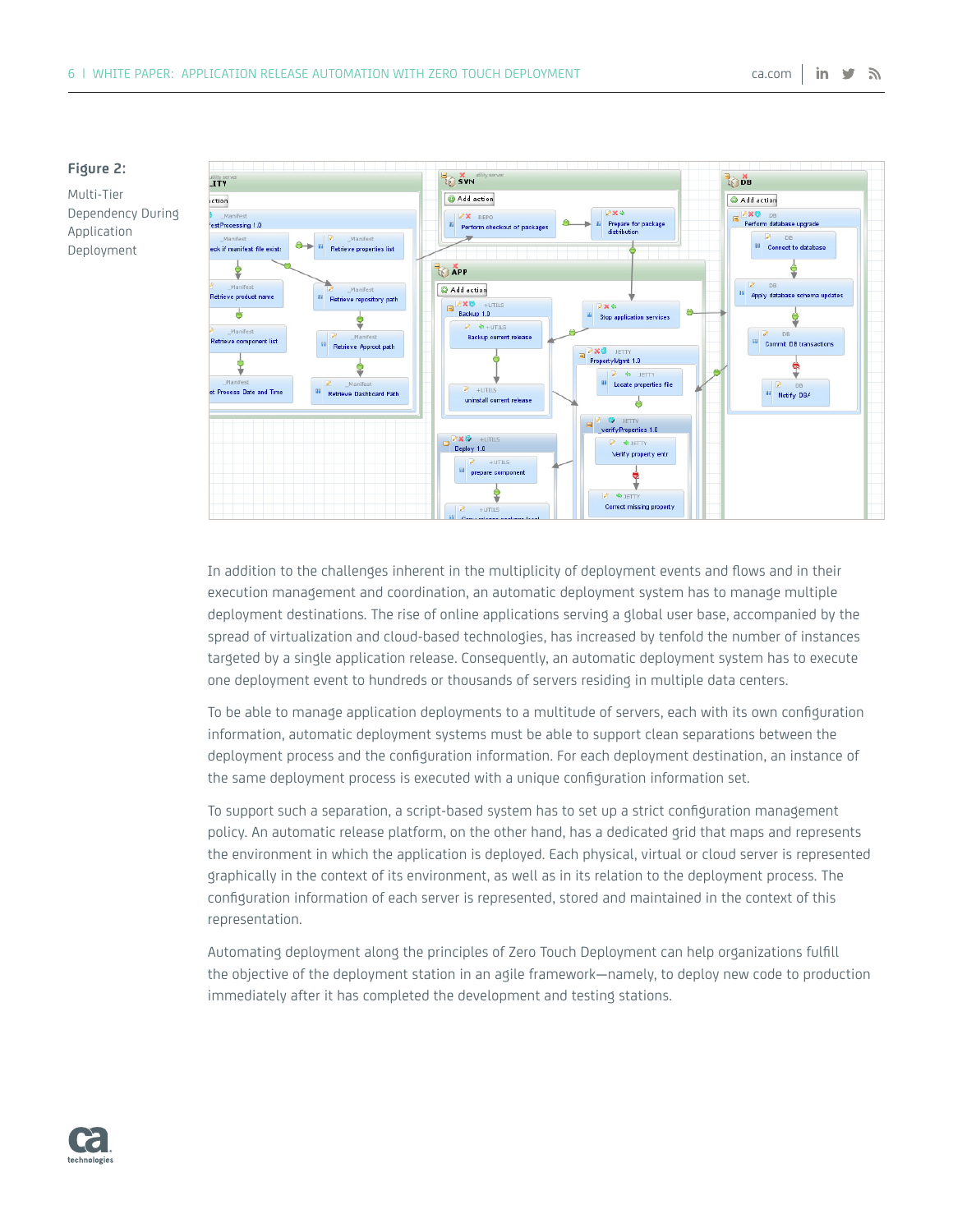

In addition to the challenges inherent in the multiplicity of deployment events and flows and in their execution management and coordination, an automatic deployment system has to manage multiple deployment destinations. The rise of online applications serving a global user base, accompanied by the spread of virtualization and cloud-based technologies, has increased by tenfold the number of instances targeted by a single application release. Consequently, an automatic deployment system has to execute one deployment event to hundreds or thousands of servers residing in multiple data centers.

To be able to manage application deployments to a multitude of servers, each with its own configuration information, automatic deployment systems must be able to support clean separations between the deployment process and the configuration information. For each deployment destination, an instance of the same deployment process is executed with a unique configuration information set.

To support such a separation, a script-based system has to set up a strict configuration management policy. An automatic release platform, on the other hand, has a dedicated grid that maps and represents the environment in which the application is deployed. Each physical, virtual or cloud server is represented graphically in the context of its environment, as well as in its relation to the deployment process. The configuration information of each server is represented, stored and maintained in the context of this representation.

Automating deployment along the principles of Zero Touch Deployment can help organizations fulfill the objective of the deployment station in an agile framework—namely, to deploy new code to production immediately after it has completed the development and testing stations.

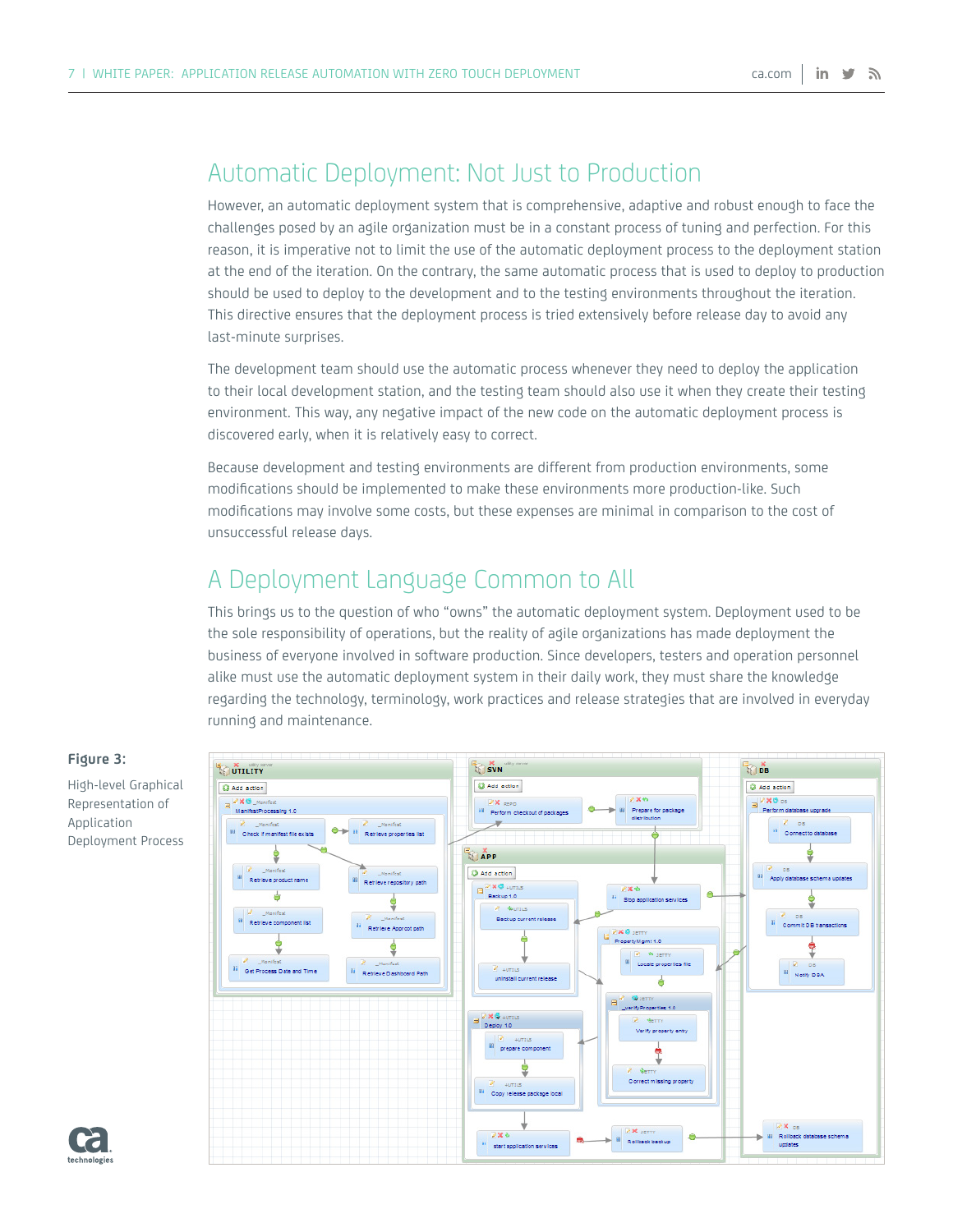# Automatic Deployment: Not Just to Production

However, an automatic deployment system that is comprehensive, adaptive and robust enough to face the challenges posed by an agile organization must be in a constant process of tuning and perfection. For this reason, it is imperative not to limit the use of the automatic deployment process to the deployment station at the end of the iteration. On the contrary, the same automatic process that is used to deploy to production should be used to deploy to the development and to the testing environments throughout the iteration. This directive ensures that the deployment process is tried extensively before release day to avoid any last-minute surprises.

The development team should use the automatic process whenever they need to deploy the application to their local development station, and the testing team should also use it when they create their testing environment. This way, any negative impact of the new code on the automatic deployment process is discovered early, when it is relatively easy to correct.

Because development and testing environments are different from production environments, some modifications should be implemented to make these environments more production-like. Such modifications may involve some costs, but these expenses are minimal in comparison to the cost of unsuccessful release days.

# A Deployment Language Common to All

This brings us to the question of who "owns" the automatic deployment system. Deployment used to be the sole responsibility of operations, but the reality of agile organizations has made deployment the business of everyone involved in software production. Since developers, testers and operation personnel alike must use the automatic deployment system in their daily work, they must share the knowledge regarding the technology, terminology, work practices and release strategies that are involved in everyday running and maintenance.



#### **Figure 3:**

High-level Graphical Representation of Application Deployment Process